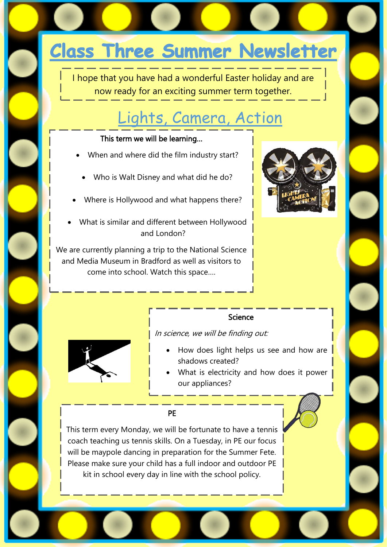# **Class Three Summer Newsletter**

I hope that you have had a wonderful Easter holiday and are now ready for an exciting summer term together.

## [Lights, Camera, Action](http://www.google.co.uk/url?sa=i&rct=j&q=&esrc=s&source=images&cd=&cad=rja&uact=8&ved=0ahUKEwjK1JKj2uzZAhXJ1qQKHdueCVcQjRwIBg&url=http://clipart-library.com/hollywood-border-cliparts.html&psig=AOvVaw2TGCwVIOl_zRjrIHGpHxvI&ust=1521147513380365)

#### This term we will be learning…

- When and where did the film industry start?
	- Who is Walt Disney and what did he do?
- Where is Hollywood and what happens there?
- What is similar and different between Hollywood and London?

We are currently planning a trip to the National Science and Media Museum in Bradford as well as visitors to come into school. Watch this space….



#### Science

In science, we will be finding out:



- How does light helps us see and how are shadows created?
- What is electricity and how does it power our appliances?

#### PE

This term every Monday, we will be fortunate to have a tennis coach teaching us tennis skills. On a Tuesday, in PE our focus will be maypole dancing in preparation for the Summer Fete. Please make sure your child has a full indoor and outdoor PE kit in school every day in line with the school policy.